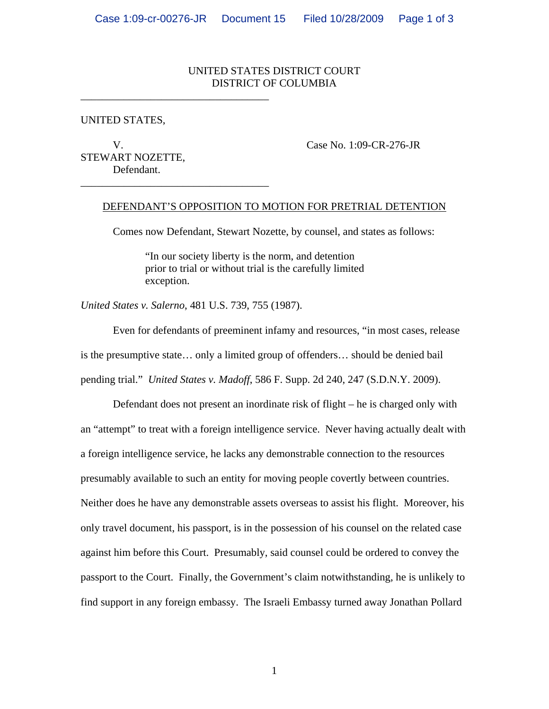## UNITED STATES DISTRICT COURT DISTRICT OF COLUMBIA

UNITED STATES,

STEWART NOZETTE, Defendant. \_\_\_\_\_\_\_\_\_\_\_\_\_\_\_\_\_\_\_\_\_\_\_\_\_\_\_\_\_\_\_\_\_\_\_

\_\_\_\_\_\_\_\_\_\_\_\_\_\_\_\_\_\_\_\_\_\_\_\_\_\_\_\_\_\_\_\_\_\_\_

V. Case No. 1:09-CR-276-JR

## DEFENDANT'S OPPOSITION TO MOTION FOR PRETRIAL DETENTION

Comes now Defendant, Stewart Nozette, by counsel, and states as follows:

 "In our society liberty is the norm, and detention prior to trial or without trial is the carefully limited exception.

*United States v. Salerno*, 481 U.S. 739, 755 (1987).

 Even for defendants of preeminent infamy and resources, "in most cases, release is the presumptive state… only a limited group of offenders… should be denied bail pending trial." *United States v. Madoff*, 586 F. Supp. 2d 240, 247 (S.D.N.Y. 2009).

Defendant does not present an inordinate risk of flight – he is charged only with an "attempt" to treat with a foreign intelligence service. Never having actually dealt with a foreign intelligence service, he lacks any demonstrable connection to the resources presumably available to such an entity for moving people covertly between countries. Neither does he have any demonstrable assets overseas to assist his flight. Moreover, his only travel document, his passport, is in the possession of his counsel on the related case against him before this Court. Presumably, said counsel could be ordered to convey the passport to the Court. Finally, the Government's claim notwithstanding, he is unlikely to find support in any foreign embassy. The Israeli Embassy turned away Jonathan Pollard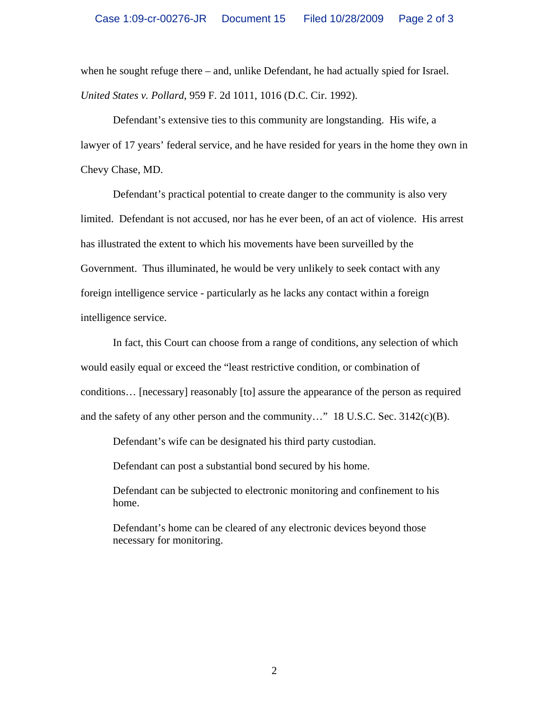when he sought refuge there – and, unlike Defendant, he had actually spied for Israel. *United States v. Pollard*, 959 F. 2d 1011, 1016 (D.C. Cir. 1992).

 Defendant's extensive ties to this community are longstanding. His wife, a lawyer of 17 years' federal service, and he have resided for years in the home they own in Chevy Chase, MD.

 Defendant's practical potential to create danger to the community is also very limited. Defendant is not accused, nor has he ever been, of an act of violence. His arrest has illustrated the extent to which his movements have been surveilled by the Government. Thus illuminated, he would be very unlikely to seek contact with any foreign intelligence service - particularly as he lacks any contact within a foreign intelligence service.

 In fact, this Court can choose from a range of conditions, any selection of which would easily equal or exceed the "least restrictive condition, or combination of conditions… [necessary] reasonably [to] assure the appearance of the person as required and the safety of any other person and the community..." 18 U.S.C. Sec.  $3142(c)(B)$ .

Defendant's wife can be designated his third party custodian.

Defendant can post a substantial bond secured by his home.

Defendant can be subjected to electronic monitoring and confinement to his home.

Defendant's home can be cleared of any electronic devices beyond those necessary for monitoring.